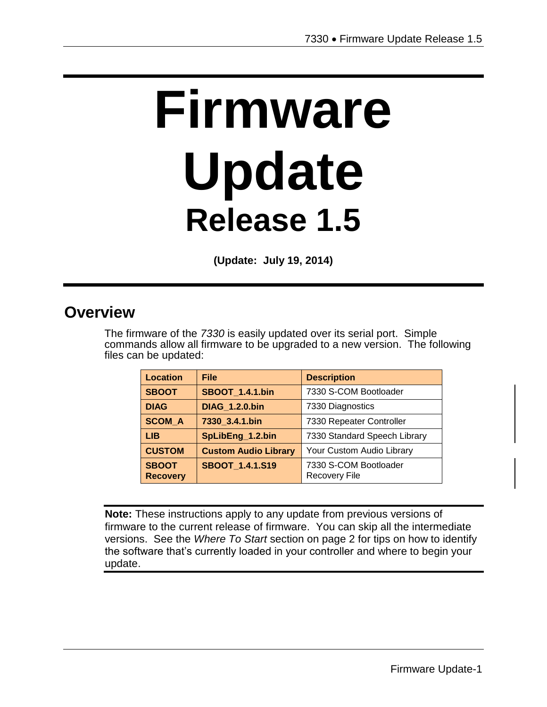# **Firmware Update Release 1.5**

**(Update: July 19, 2014)**

### **Overview**

The firmware of the *7330* is easily updated over its serial port. Simple commands allow all firmware to be upgraded to a new version. The following files can be updated:

| <b>Location</b>                 | <b>File</b>                 | <b>Description</b>                            |
|---------------------------------|-----------------------------|-----------------------------------------------|
| <b>SBOOT</b>                    | <b>SBOOT 1.4.1.bin</b>      | 7330 S-COM Bootloader                         |
| <b>DIAG</b>                     | <b>DIAG 1.2.0.bin</b>       | 7330 Diagnostics                              |
| <b>SCOM A</b>                   | 7330 3.4.1.bin              | 7330 Repeater Controller                      |
| LIB.                            | SpLibEng_1.2.bin            | 7330 Standard Speech Library                  |
| <b>CUSTOM</b>                   | <b>Custom Audio Library</b> | Your Custom Audio Library                     |
| <b>SBOOT</b><br><b>Recovery</b> | <b>SBOOT 1.4.1.S19</b>      | 7330 S-COM Bootloader<br><b>Recovery File</b> |

**Note:** These instructions apply to any update from previous versions of firmware to the current release of firmware. You can skip all the intermediate versions. See the *Where To Start* section on page 2 for tips on how to identify the software that's currently loaded in your controller and where to begin your update.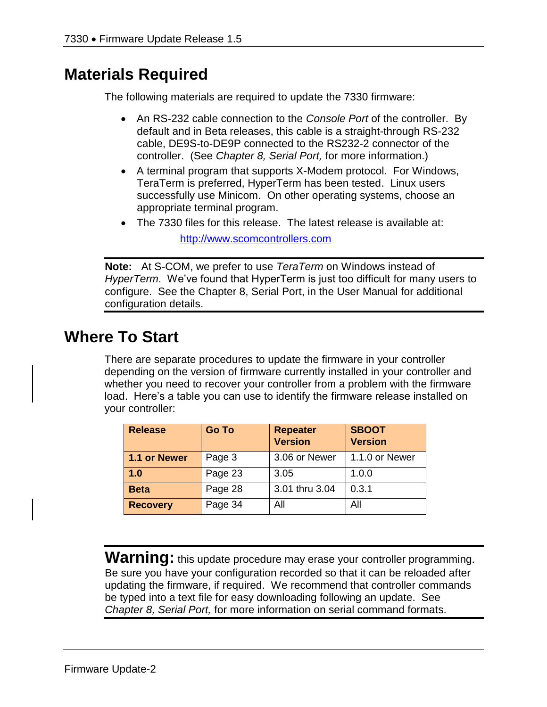## **Materials Required**

The following materials are required to update the 7330 firmware:

- An RS-232 cable connection to the *Console Port* of the controller. By default and in Beta releases, this cable is a straight-through RS-232 cable, DE9S-to-DE9P connected to the RS232-2 connector of the controller. (See *Chapter 8, Serial Port,* for more information.)
- A terminal program that supports X-Modem protocol. For Windows, TeraTerm is preferred, HyperTerm has been tested. Linux users successfully use Minicom. On other operating systems, choose an appropriate terminal program.
- The 7330 files for this release. The latest release is available at:

[http://www.scomcontrollers.com](http://www.scomcontrollers.com/)

**Note:** At S-COM, we prefer to use *TeraTerm* on Windows instead of *HyperTerm*. We've found that HyperTerm is just too difficult for many users to configure. See the Chapter 8, Serial Port, in the User Manual for additional configuration details.

# **Where To Start**

There are separate procedures to update the firmware in your controller depending on the version of firmware currently installed in your controller and whether you need to recover your controller from a problem with the firmware load. Here's a table you can use to identify the firmware release installed on your controller:

| <b>Release</b>  | <b>Go To</b> | <b>Repeater</b><br><b>Version</b> | <b>SBOOT</b><br><b>Version</b> |
|-----------------|--------------|-----------------------------------|--------------------------------|
| 1.1 or Newer    | Page 3       | 3.06 or Newer                     | 1.1.0 or Newer                 |
| 1.0             | Page 23      | 3.05                              | 1.0.0                          |
| <b>Beta</b>     | Page 28      | 3.01 thru 3.04                    | 0.3.1                          |
| <b>Recovery</b> | Page 34      | All                               | All                            |

**Warning:** this update procedure may erase your controller programming. Be sure you have your configuration recorded so that it can be reloaded after updating the firmware, if required. We recommend that controller commands be typed into a text file for easy downloading following an update. See *Chapter 8, Serial Port,* for more information on serial command formats.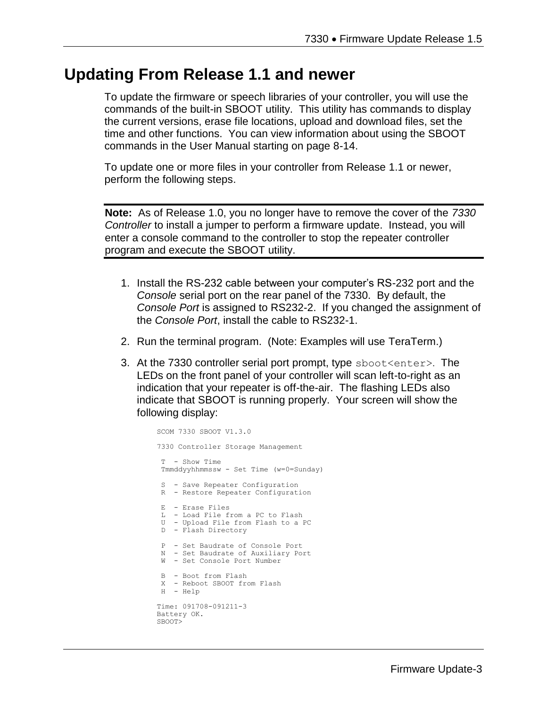#### **Updating From Release 1.1 and newer**

To update the firmware or speech libraries of your controller, you will use the commands of the built-in SBOOT utility. This utility has commands to display the current versions, erase file locations, upload and download files, set the time and other functions. You can view information about using the SBOOT commands in the User Manual starting on page 8-14.

To update one or more files in your controller from Release 1.1 or newer, perform the following steps.

**Note:** As of Release 1.0, you no longer have to remove the cover of the *7330 Controller* to install a jumper to perform a firmware update. Instead, you will enter a console command to the controller to stop the repeater controller program and execute the SBOOT utility.

- 1. Install the RS-232 cable between your computer's RS-232 port and the *Console* serial port on the rear panel of the 7330. By default, the *Console Port* is assigned to RS232-2. If you changed the assignment of the *Console Port*, install the cable to RS232-1.
- 2. Run the terminal program. (Note: Examples will use TeraTerm.)
- 3. At the 7330 controller serial port prompt, type sboot<enter>. The LEDs on the front panel of your controller will scan left-to-right as an indication that your repeater is off-the-air. The flashing LEDs also indicate that SBOOT is running properly. Your screen will show the following display:

```
SCOM 7330 SBOOT V1.3.0
7330 Controller Storage Management
 T - Show Time 
Tmmddyyhhmmssw - Set Time (w=0=Sunday)
S - Save Repeater Configuration
R - Restore Repeater Configuration
 E - Erase Files
 L - Load File from a PC to Flash
 U - Upload File from Flash to a PC
 D - Flash Directory
P - Set Baudrate of Console Port
 N - Set Baudrate of Auxiliary Port
 W - Set Console Port Number
B - Boot from Flash
 X - Reboot SBOOT from Flash
H - Help
Time: 091708-091211-3
Battery OK.
SBOOT>
```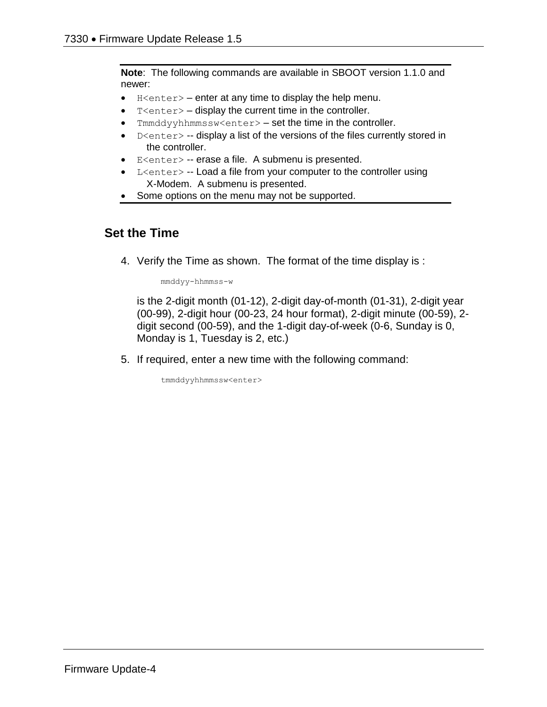**Note**: The following commands are available in SBOOT version 1.1.0 and newer:

- $\bullet$  H<enter> enter at any time to display the help menu.
- $T$  <enter  $>$  display the current time in the controller.
- Immddyyhhmmssw<enter> $-$ set the time in the controller.
- $\bullet$  D<enter> -- display a list of the versions of the files currently stored in the controller.
- E<enter> -- erase a file. A submenu is presented.
- L<enter> -- Load a file from your computer to the controller using X-Modem. A submenu is presented.
- Some options on the menu may not be supported.

#### **Set the Time**

4. Verify the Time as shown. The format of the time display is :

mmddyy-hhmmss-w

is the 2-digit month (01-12), 2-digit day-of-month (01-31), 2-digit year (00-99), 2-digit hour (00-23, 24 hour format), 2-digit minute (00-59), 2 digit second (00-59), and the 1-digit day-of-week (0-6, Sunday is 0, Monday is 1, Tuesday is 2, etc.)

5. If required, enter a new time with the following command:

tmmddyyhhmmssw<enter>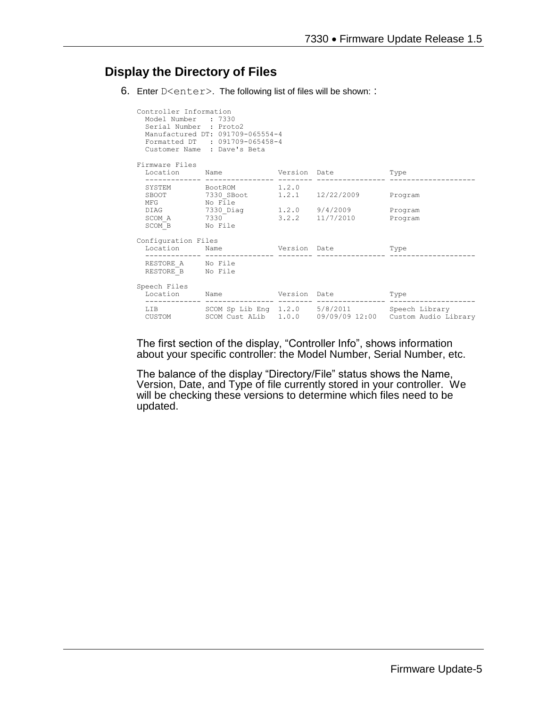#### **Display the Directory of Files**

6. Enter D<enter>. The following list of files will be shown: :

| Controller Information<br>Model Number : 7330<br>Serial Number : Proto2 | Manufactured DT: 091709-065554-4<br>Formatted DT : 091709-065458-4<br>Customer Name : Dave's Beta |  |  |                                                                 |
|-------------------------------------------------------------------------|---------------------------------------------------------------------------------------------------|--|--|-----------------------------------------------------------------|
| Firmware Files<br>Location Name Version Date<br>Type                    |                                                                                                   |  |  |                                                                 |
| MFG No File                                                             | SYSTEM BootROM 1.2.0<br>SBOOT 7330_SBoot 1.2.1 12/22/2009 Program                                 |  |  |                                                                 |
| SCOM B No File                                                          | DIAG 7330 Diag 1.2.0 9/4/2009 Program<br>SCOM A 7330 3.2.2 11/7/2010                              |  |  | Program                                                         |
| Configuration Files<br>Location Name Version Date                       |                                                                                                   |  |  | Type                                                            |
| RESTORE A No File<br>RESTORE B No File                                  |                                                                                                   |  |  |                                                                 |
| Speech Files                                                            | Location Name Version Date                                                                        |  |  | Type                                                            |
|                                                                         | LIB SCOM Sp Lib Eng 1.2.0 5/8/2011 Speech Library                                                 |  |  | CUSTOM SCOM Cust ALib 1.0.0 09/09/09 12:00 Custom Audio Library |

The first section of the display, "Controller Info", shows information about your specific controller: the Model Number, Serial Number, etc.

The balance of the display "Directory/File" status shows the Name, Version, Date, and Type of file currently stored in your controller. We will be checking these versions to determine which files need to be updated.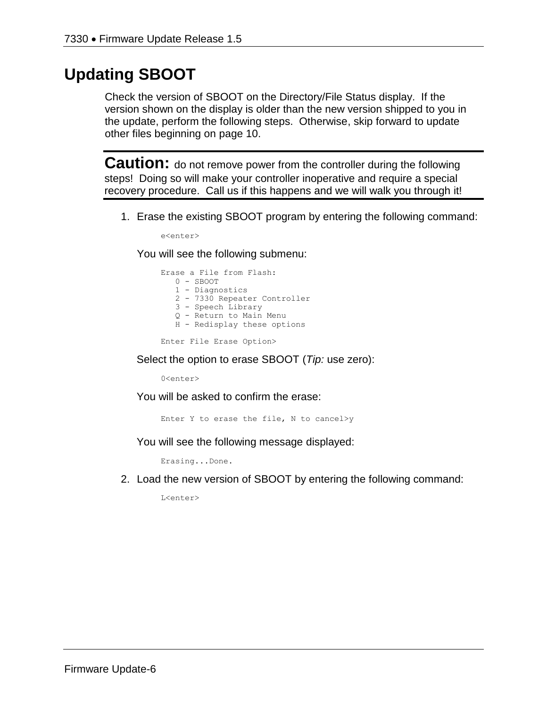# **Updating SBOOT**

Check the version of SBOOT on the Directory/File Status display. If the version shown on the display is older than the new version shipped to you in the update, perform the following steps. Otherwise, skip forward to update other files beginning on page 10.

**Caution:** do not remove power from the controller during the following steps! Doing so will make your controller inoperative and require a special recovery procedure. Call us if this happens and we will walk you through it!

1. Erase the existing SBOOT program by entering the following command:

e<enter>

You will see the following submenu:

Erase a File from Flash: 0 - SBOOT 1 - Diagnostics 2 - 7330 Repeater Controller 3 - Speech Library Q - Return to Main Menu H - Redisplay these options

Enter File Erase Option>

Select the option to erase SBOOT (*Tip:* use zero):

0<enter>

You will be asked to confirm the erase:

Enter Y to erase the file, N to cancel>y

You will see the following message displayed:

Erasing...Done.

2. Load the new version of SBOOT by entering the following command:

L<enter>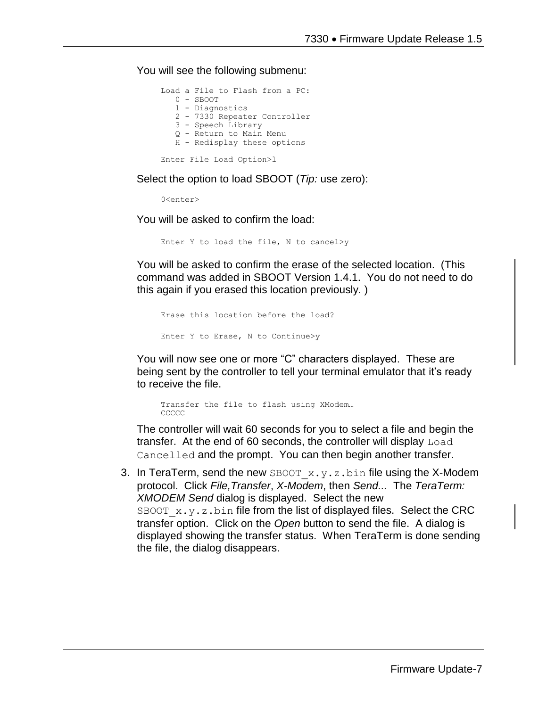You will see the following submenu:

```
Load a File to Flash from a PC:
    0 - SBOOT
    1 - Diagnostics
    2 - 7330 Repeater Controller
    3 - Speech Library
    Q - Return to Main Menu
    H - Redisplay these options
Enter File Load Option>l
```
Select the option to load SBOOT (*Tip:* use zero):

 $0$ canter>

You will be asked to confirm the load:

Enter Y to load the file, N to cancel>y

You will be asked to confirm the erase of the selected location. (This command was added in SBOOT Version 1.4.1. You do not need to do this again if you erased this location previously. )

```
Erase this location before the load?
Enter Y to Erase, N to Continue>y
```
You will now see one or more "C" characters displayed. These are being sent by the controller to tell your terminal emulator that it's ready to receive the file.

Transfer the file to flash using XModem… CCCCC

The controller will wait 60 seconds for you to select a file and begin the transfer. At the end of 60 seconds, the controller will display Load Cancelled and the prompt. You can then begin another transfer.

3. In TeraTerm, send the new SBOOT  $x \cdot y \cdot z \cdot b$  in file using the X-Modem protocol. Click *File,Transfer*, *X-Modem*, then *Send...* The *TeraTerm: XMODEM Send* dialog is displayed. Select the new SBOOT  $x,y,z,bin$  file from the list of displayed files. Select the CRC transfer option. Click on the *Open* button to send the file. A dialog is displayed showing the transfer status. When TeraTerm is done sending the file, the dialog disappears.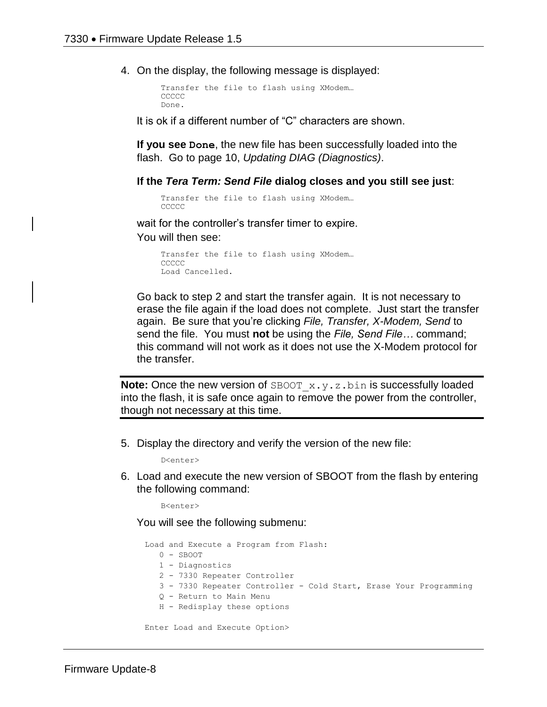4. On the display, the following message is displayed:

```
Transfer the file to flash using XModem…
CCCCC
Done.
```
It is ok if a different number of "C" characters are shown.

**If you see Done**, the new file has been successfully loaded into the flash. Go to page 10, *Updating DIAG (Diagnostics)*.

**If the** *Tera Term: Send File* **dialog closes and you still see just**:

```
Transfer the file to flash using XModem…
CCCCC
```
wait for the controller's transfer timer to expire.

You will then see:

```
Transfer the file to flash using XModem…
CCCCC
Load Cancelled.
```
Go back to step 2 and start the transfer again. It is not necessary to erase the file again if the load does not complete. Just start the transfer again. Be sure that you're clicking *File, Transfer, X-Modem, Send* to send the file. You must **not** be using the *File, Send File…* command; this command will not work as it does not use the X-Modem protocol for the transfer.

**Note:** Once the new version of SBOOT<sub>\_</sub>x.y.z.bin is successfully loaded into the flash, it is safe once again to remove the power from the controller, though not necessary at this time.

5. Display the directory and verify the version of the new file:

D<enter>

6. Load and execute the new version of SBOOT from the flash by entering the following command:

B<enter>

You will see the following submenu:

```
Load and Execute a Program from Flash:
  0 -SBOOT
   1 - Diagnostics
   2 - 7330 Repeater Controller
   3 - 7330 Repeater Controller - Cold Start, Erase Your Programming
   Q - Return to Main Menu
   H - Redisplay these options
Enter Load and Execute Option>
```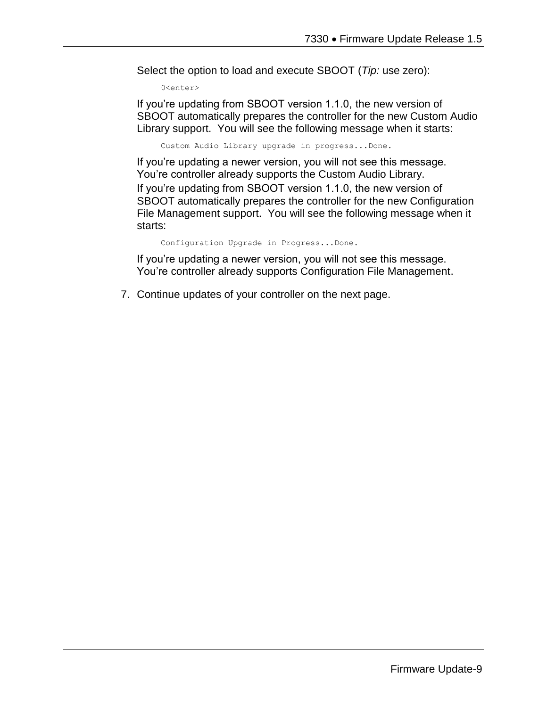Select the option to load and execute SBOOT (*Tip:* use zero):

0<enter>

If you're updating from SBOOT version 1.1.0, the new version of SBOOT automatically prepares the controller for the new Custom Audio Library support. You will see the following message when it starts:

Custom Audio Library upgrade in progress...Done.

If you're updating a newer version, you will not see this message. You're controller already supports the Custom Audio Library. If you're updating from SBOOT version 1.1.0, the new version of SBOOT automatically prepares the controller for the new Configuration File Management support. You will see the following message when it starts:

Configuration Upgrade in Progress...Done.

If you're updating a newer version, you will not see this message. You're controller already supports Configuration File Management.

7. Continue updates of your controller on the next page.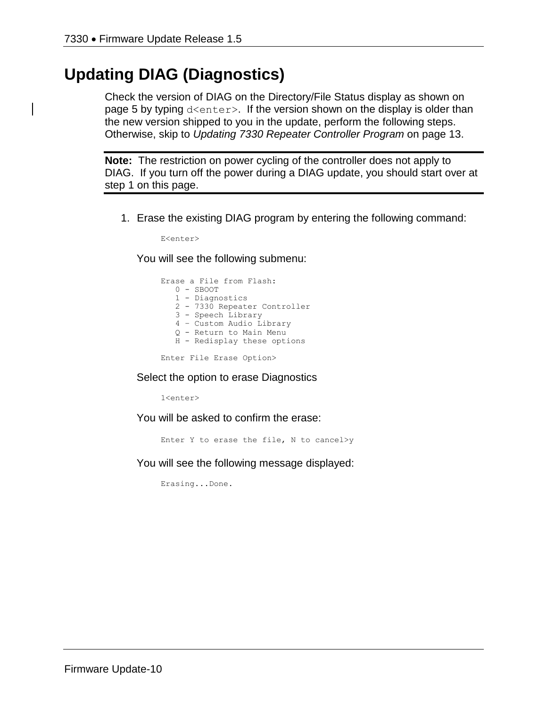# **Updating DIAG (Diagnostics)**

Check the version of DIAG on the Directory/File Status display as shown on page 5 by typing d<enter>. If the version shown on the display is older than the new version shipped to you in the update, perform the following steps. Otherwise, skip to *Updating 7330 Repeater Controller Program* on page 13.

**Note:** The restriction on power cycling of the controller does not apply to DIAG. If you turn off the power during a DIAG update, you should start over at step 1 on this page.

1. Erase the existing DIAG program by entering the following command:

E<enter>

You will see the following submenu:

Erase a File from Flash: 0 - SBOOT 1 - Diagnostics 2 - 7330 Repeater Controller 3 - Speech Library 4 – Custom Audio Library Q - Return to Main Menu H - Redisplay these options

Enter File Erase Option>

#### Select the option to erase Diagnostics

1<enter>

You will be asked to confirm the erase:

Enter Y to erase the file, N to cancel>y

You will see the following message displayed:

Erasing...Done.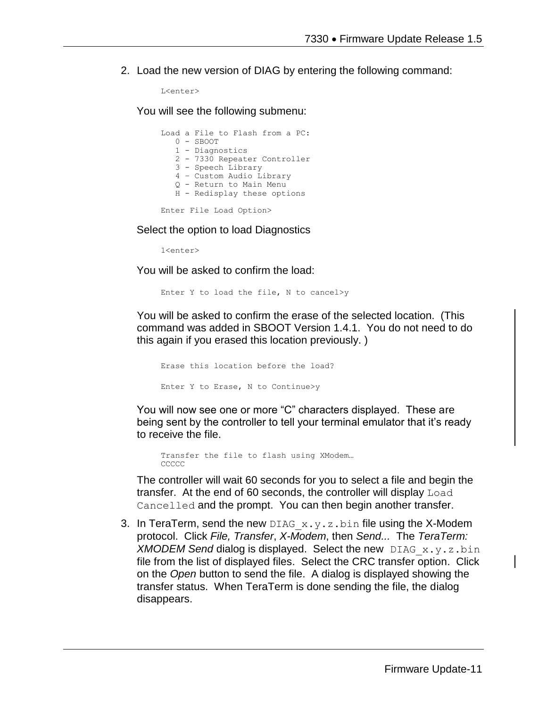2. Load the new version of DIAG by entering the following command:

```
L<enter>
```
You will see the following submenu:

|  | Load a File to Flash from a PC: |
|--|---------------------------------|
|  | $0 -$ SBOOT                     |
|  | 1 - Diagnostics                 |
|  | 2 - 7330 Repeater Controller    |
|  | 3 - Speech Library              |
|  | 4 - Custom Audio Library        |
|  | 0 - Return to Main Menu         |
|  | H - Redisplay these options     |
|  |                                 |

Enter File Load Option>

Select the option to load Diagnostics

1<enter>

You will be asked to confirm the load:

Enter Y to load the file, N to cancel>y

You will be asked to confirm the erase of the selected location. (This command was added in SBOOT Version 1.4.1. You do not need to do this again if you erased this location previously. )

```
Erase this location before the load?
Enter Y to Erase, N to Continue>y
```
You will now see one or more "C" characters displayed. These are being sent by the controller to tell your terminal emulator that it's ready to receive the file.

Transfer the file to flash using XModem… CCCCC

The controller will wait 60 seconds for you to select a file and begin the transfer. At the end of 60 seconds, the controller will display Load Cancelled and the prompt. You can then begin another transfer.

3. In TeraTerm, send the new DIAG  $x, y, z, b$  in file using the X-Modem protocol. Click *File, Transfer*, *X-Modem*, then *Send...* The *TeraTerm: XMODEM Send* dialog is displayed. Select the new DIAG\_x.y.z.bin file from the list of displayed files. Select the CRC transfer option. Click on the *Open* button to send the file. A dialog is displayed showing the transfer status. When TeraTerm is done sending the file, the dialog disappears.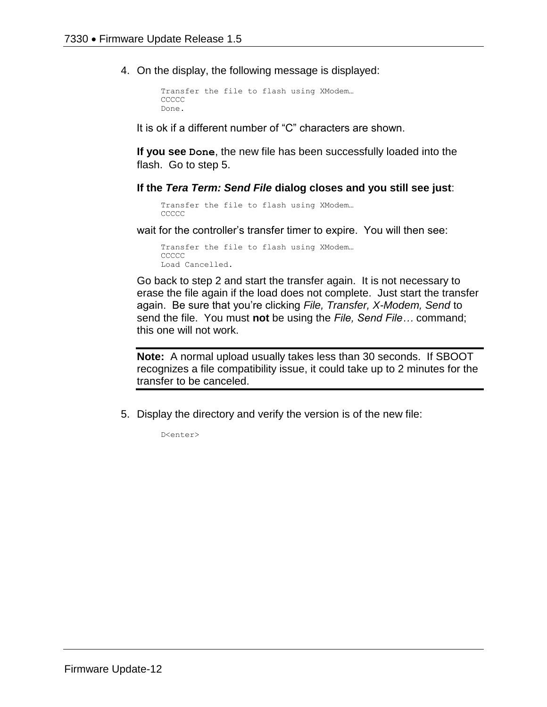4. On the display, the following message is displayed:

```
Transfer the file to flash using XModem…
CCCCC
Done.
```
It is ok if a different number of "C" characters are shown.

**If you see Done**, the new file has been successfully loaded into the flash. Go to step 5.

**If the** *Tera Term: Send File* **dialog closes and you still see just**:

```
Transfer the file to flash using XModem…
CCCCC
```
wait for the controller's transfer timer to expire. You will then see:

Transfer the file to flash using XModem… **CCCCC** Load Cancelled.

Go back to step 2 and start the transfer again. It is not necessary to erase the file again if the load does not complete. Just start the transfer again. Be sure that you're clicking *File, Transfer, X-Modem, Send* to send the file. You must **not** be using the *File, Send File…* command; this one will not work.

**Note:** A normal upload usually takes less than 30 seconds. If SBOOT recognizes a file compatibility issue, it could take up to 2 minutes for the transfer to be canceled.

5. Display the directory and verify the version is of the new file:

D<enter>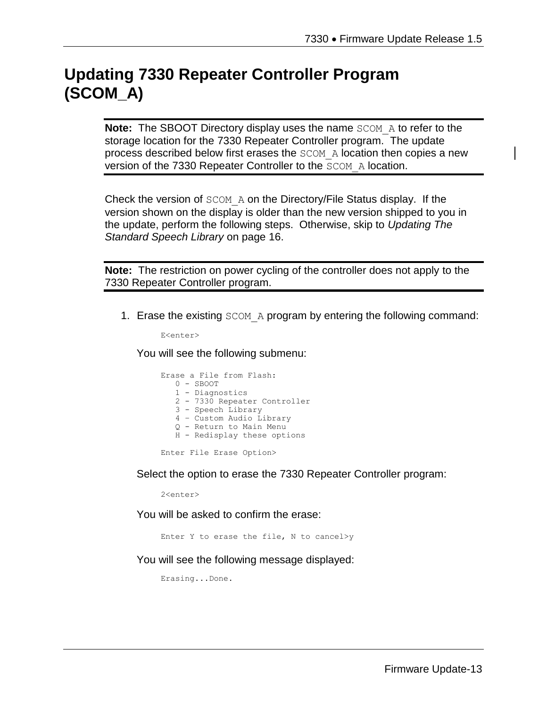# **Updating 7330 Repeater Controller Program (SCOM\_A)**

**Note:** The SBOOT Directory display uses the name SCOM A to refer to the storage location for the 7330 Repeater Controller program. The update process described below first erases the SCOM\_A location then copies a new version of the 7330 Repeater Controller to the SCOM A location.

Check the version of SCOM\_A on the Directory/File Status display. If the version shown on the display is older than the new version shipped to you in the update, perform the following steps. Otherwise, skip to *Updating The Standard Speech Library* on page 16.

**Note:** The restriction on power cycling of the controller does not apply to the 7330 Repeater Controller program.

1. Erase the existing SCOM A program by entering the following command:

E<enter>

You will see the following submenu:

|  | Erase a File from Flash:     |
|--|------------------------------|
|  | $0 -$ SBOOT                  |
|  | 1 - Diagnostics              |
|  | 2 - 7330 Repeater Controller |
|  | 3 - Speech Library           |
|  | 4 - Custom Audio Library     |
|  | 0 - Return to Main Menu      |
|  | H - Redisplay these options  |
|  |                              |

Enter File Erase Option>

Select the option to erase the 7330 Repeater Controller program:

2<enter>

You will be asked to confirm the erase:

Enter Y to erase the file, N to cancel>y

You will see the following message displayed:

Erasing...Done.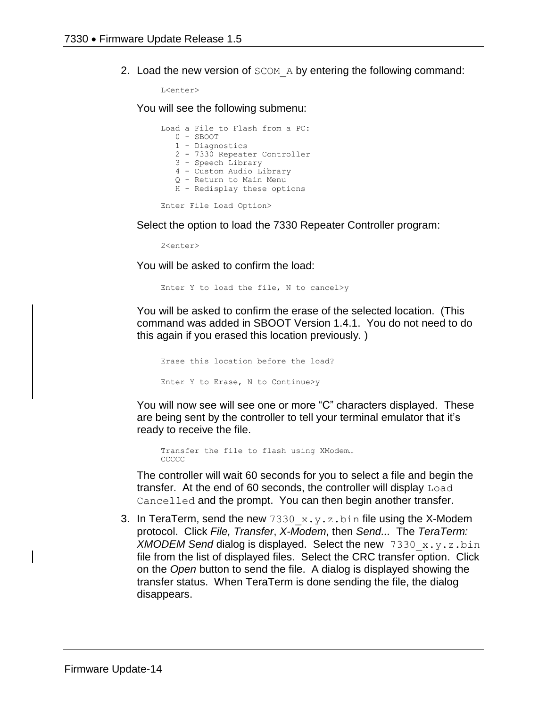2. Load the new version of  $SCOM$  A by entering the following command:

L<enter>

You will see the following submenu:

Load a File to Flash from a PC: 0 - SBOOT 1 - Diagnostics 2 - 7330 Repeater Controller 3 - Speech Library 4 – Custom Audio Library Q - Return to Main Menu H - Redisplay these options Enter File Load Option>

Select the option to load the 7330 Repeater Controller program:

2<enter>

You will be asked to confirm the load:

Enter Y to load the file, N to cancel>y

You will be asked to confirm the erase of the selected location. (This command was added in SBOOT Version 1.4.1. You do not need to do this again if you erased this location previously. )

Erase this location before the load? Enter Y to Erase, N to Continue>y

You will now see will see one or more "C" characters displayed. These are being sent by the controller to tell your terminal emulator that it's ready to receive the file.

Transfer the file to flash using XModem… CCCCC

The controller will wait 60 seconds for you to select a file and begin the transfer. At the end of 60 seconds, the controller will display Load Cancelled and the prompt. You can then begin another transfer.

3. In TeraTerm, send the new  $7330 \times y.$  z.bin file using the X-Modem protocol. Click *File, Transfer*, *X-Modem*, then *Send...* The *TeraTerm: XMODEM Send* dialog is displayed. Select the new 7330\_x.y.z.bin file from the list of displayed files. Select the CRC transfer option. Click on the *Open* button to send the file. A dialog is displayed showing the transfer status. When TeraTerm is done sending the file, the dialog disappears.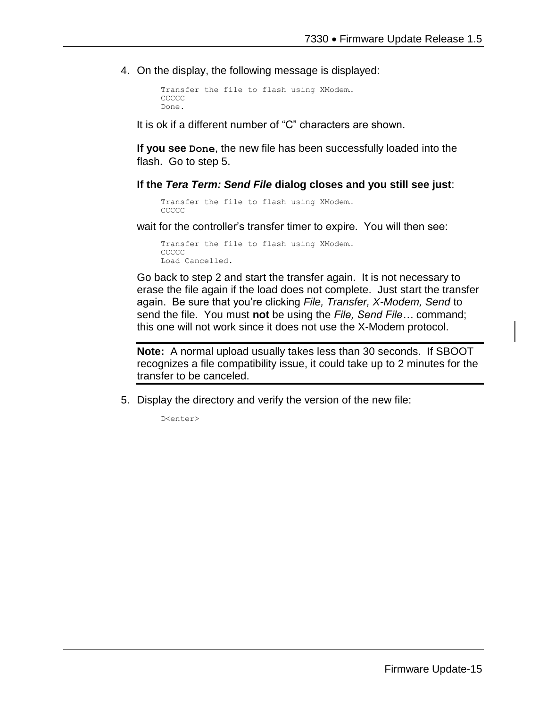4. On the display, the following message is displayed:

```
Transfer the file to flash using XModem…
CCCCC
Done.
```
It is ok if a different number of "C" characters are shown.

**If you see Done**, the new file has been successfully loaded into the flash. Go to step 5.

**If the** *Tera Term: Send File* **dialog closes and you still see just**:

```
Transfer the file to flash using XModem…
CCCCC
```
wait for the controller's transfer timer to expire. You will then see:

Transfer the file to flash using XModem… **CCCCC** Load Cancelled.

Go back to step 2 and start the transfer again. It is not necessary to erase the file again if the load does not complete. Just start the transfer again. Be sure that you're clicking *File, Transfer, X-Modem, Send* to send the file. You must **not** be using the *File, Send File…* command; this one will not work since it does not use the X-Modem protocol.

**Note:** A normal upload usually takes less than 30 seconds. If SBOOT recognizes a file compatibility issue, it could take up to 2 minutes for the transfer to be canceled.

5. Display the directory and verify the version of the new file:

D<enter>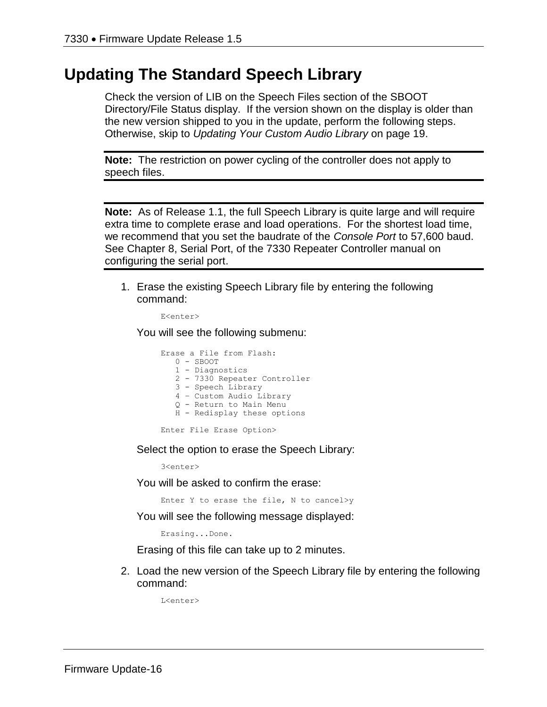#### **Updating The Standard Speech Library**

Check the version of LIB on the Speech Files section of the SBOOT Directory/File Status display. If the version shown on the display is older than the new version shipped to you in the update, perform the following steps. Otherwise, skip to *Updating Your Custom Audio Library* on page 19.

**Note:** The restriction on power cycling of the controller does not apply to speech files.

**Note:** As of Release 1.1, the full Speech Library is quite large and will require extra time to complete erase and load operations. For the shortest load time, we recommend that you set the baudrate of the *Console Port* to 57,600 baud. See Chapter 8, Serial Port, of the 7330 Repeater Controller manual on configuring the serial port.

1. Erase the existing Speech Library file by entering the following command:

E<enter>

You will see the following submenu:

| Erase a File from Flash:     |  |
|------------------------------|--|
| $0 -$ SBOOT                  |  |
| 1 - Diagnostics              |  |
| 2 - 7330 Repeater Controller |  |
| 3 - Speech Library           |  |
| 4 - Custom Audio Library     |  |
| 0 - Return to Main Menu      |  |
| H - Redisplay these options  |  |
|                              |  |

Enter File Erase Option>

Select the option to erase the Speech Library:

3<enter>

You will be asked to confirm the erase:

Enter Y to erase the file, N to cancel>y

You will see the following message displayed:

Erasing...Done.

Erasing of this file can take up to 2 minutes.

2. Load the new version of the Speech Library file by entering the following command:

L<enter>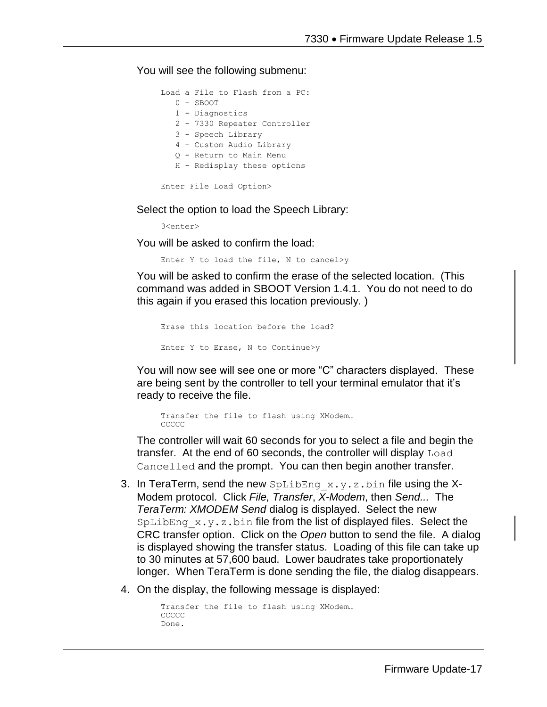You will see the following submenu:

|                         |  | Load a File to Flash from a PC: |  |
|-------------------------|--|---------------------------------|--|
|                         |  | $0 -$ SBOOT                     |  |
|                         |  | 1 - Diagnostics                 |  |
|                         |  | 2 - 7330 Repeater Controller    |  |
|                         |  | 3 - Speech Library              |  |
|                         |  | 4 - Custom Audio Library        |  |
|                         |  | 0 - Return to Main Menu         |  |
|                         |  | H - Redisplay these options     |  |
|                         |  |                                 |  |
| Enter File Load Option> |  |                                 |  |

Select the option to load the Speech Library:

3<enter>

You will be asked to confirm the load:

Enter Y to load the file, N to cancel>y

You will be asked to confirm the erase of the selected location. (This command was added in SBOOT Version 1.4.1. You do not need to do this again if you erased this location previously. )

```
Erase this location before the load?
Enter Y to Erase, N to Continue>y
```
You will now see will see one or more "C" characters displayed. These are being sent by the controller to tell your terminal emulator that it's ready to receive the file.

```
Transfer the file to flash using XModem…
CCCCC
```
The controller will wait 60 seconds for you to select a file and begin the transfer. At the end of 60 seconds, the controller will display Load Cancelled and the prompt. You can then begin another transfer.

- 3. In TeraTerm, send the new  $\text{Spliting }x,y,z$ .bin file using the X-Modem protocol. Click *File, Transfer*, *X-Modem*, then *Send...* The *TeraTerm: XMODEM Send* dialog is displayed. Select the new SpLibEng  $x,y,z,b$ in file from the list of displayed files. Select the CRC transfer option. Click on the *Open* button to send the file. A dialog is displayed showing the transfer status. Loading of this file can take up to 30 minutes at 57,600 baud. Lower baudrates take proportionately longer. When TeraTerm is done sending the file, the dialog disappears.
- 4. On the display, the following message is displayed:

```
Transfer the file to flash using XModem…
CCCCC
Done.
```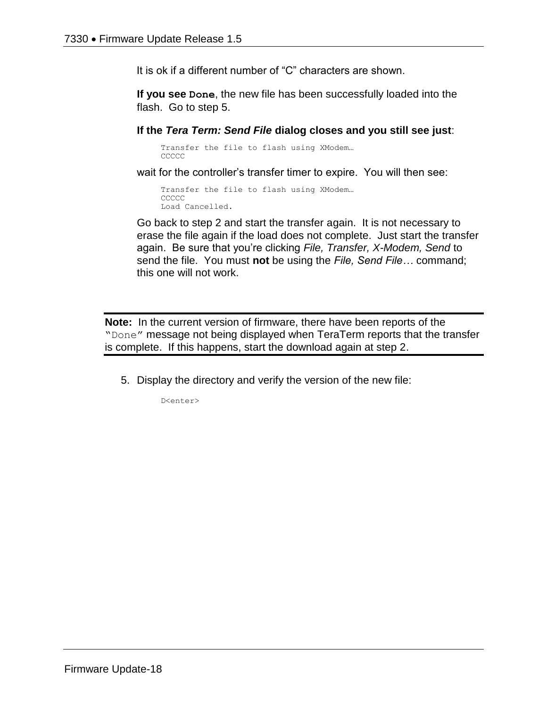It is ok if a different number of "C" characters are shown.

**If you see Done**, the new file has been successfully loaded into the flash. Go to step 5.

**If the** *Tera Term: Send File* **dialog closes and you still see just**:

Transfer the file to flash using XModem… **CCCCC** 

wait for the controller's transfer timer to expire. You will then see:

```
Transfer the file to flash using XModem…
CCCCC
Load Cancelled.
```
Go back to step 2 and start the transfer again. It is not necessary to erase the file again if the load does not complete. Just start the transfer again. Be sure that you're clicking *File, Transfer, X-Modem, Send* to send the file. You must **not** be using the *File, Send File…* command; this one will not work.

**Note:** In the current version of firmware, there have been reports of the "Done" message not being displayed when TeraTerm reports that the transfer is complete. If this happens, start the download again at step 2.

5. Display the directory and verify the version of the new file:

D<enter>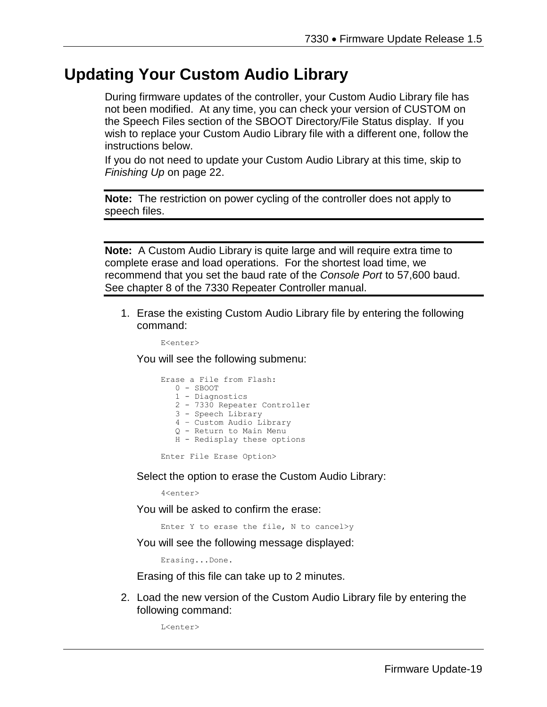### **Updating Your Custom Audio Library**

During firmware updates of the controller, your Custom Audio Library file has not been modified. At any time, you can check your version of CUSTOM on the Speech Files section of the SBOOT Directory/File Status display. If you wish to replace your Custom Audio Library file with a different one, follow the instructions below.

If you do not need to update your Custom Audio Library at this time, skip to *Finishing Up* on page 22.

**Note:** The restriction on power cycling of the controller does not apply to speech files.

**Note:** A Custom Audio Library is quite large and will require extra time to complete erase and load operations. For the shortest load time, we recommend that you set the baud rate of the *Console Port* to 57,600 baud. See chapter 8 of the 7330 Repeater Controller manual.

1. Erase the existing Custom Audio Library file by entering the following command:

E<enter>

You will see the following submenu:

|  | Erase a File from Flash:     |
|--|------------------------------|
|  | $0 -$ SBOOT                  |
|  | 1 - Diagnostics              |
|  | 2 - 7330 Repeater Controller |
|  | 3 - Speech Library           |
|  | 4 - Custom Audio Library     |
|  | 0 - Return to Main Menu      |
|  | H - Redisplay these options  |
|  |                              |

Enter File Erase Option>

Select the option to erase the Custom Audio Library:

4<enter>

You will be asked to confirm the erase:

Enter Y to erase the file, N to cancel>y

You will see the following message displayed:

Erasing...Done.

Erasing of this file can take up to 2 minutes.

2. Load the new version of the Custom Audio Library file by entering the following command:

L<enter>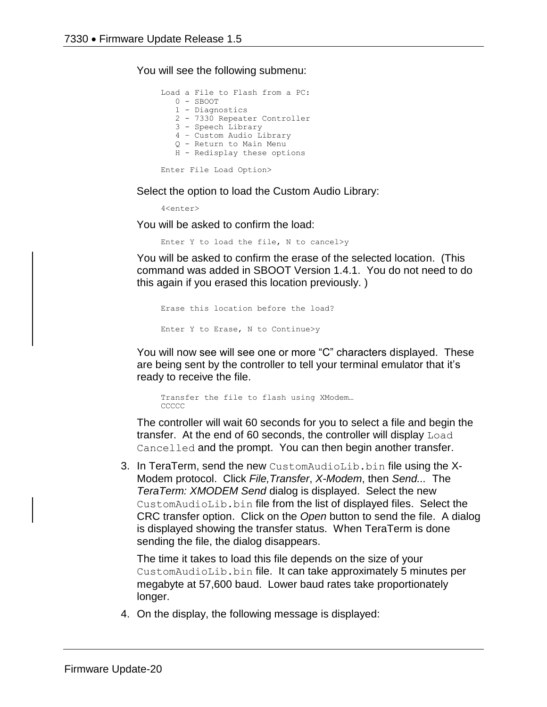You will see the following submenu:

Load a File to Flash from a PC: 0 - SBOOT 1 - Diagnostics 2 - 7330 Repeater Controller 3 - Speech Library 4 – Custom Audio Library Q - Return to Main Menu H - Redisplay these options Enter File Load Option>

Select the option to load the Custom Audio Library:

4<enter>

You will be asked to confirm the load:

Enter Y to load the file, N to cancel>y

You will be asked to confirm the erase of the selected location. (This command was added in SBOOT Version 1.4.1. You do not need to do this again if you erased this location previously. )

```
Erase this location before the load?
Enter Y to Erase, N to Continue>y
```
You will now see will see one or more "C" characters displayed. These are being sent by the controller to tell your terminal emulator that it's ready to receive the file.

```
Transfer the file to flash using XModem…
CCCCC
```
The controller will wait 60 seconds for you to select a file and begin the transfer. At the end of 60 seconds, the controller will display Load Cancelled and the prompt. You can then begin another transfer.

3. In TeraTerm, send the new CustomAudioLib.bin file using the X-Modem protocol. Click *File,Transfer*, *X-Modem*, then *Send...* The *TeraTerm: XMODEM Send* dialog is displayed. Select the new CustomAudioLib.bin file from the list of displayed files. Select the CRC transfer option. Click on the *Open* button to send the file. A dialog is displayed showing the transfer status. When TeraTerm is done sending the file, the dialog disappears.

The time it takes to load this file depends on the size of your CustomAudioLib.bin file. It can take approximately 5 minutes per megabyte at 57,600 baud. Lower baud rates take proportionately longer.

4. On the display, the following message is displayed: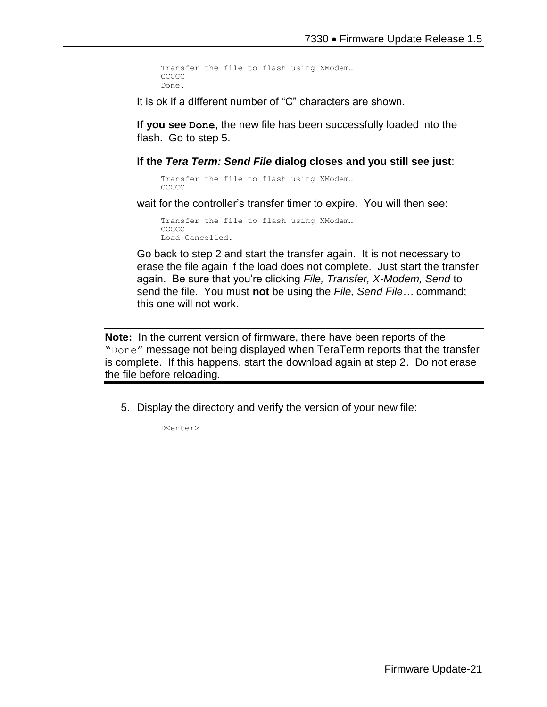```
Transfer the file to flash using XModem…
CCCCC
Done.
```
It is ok if a different number of "C" characters are shown.

**If you see Done**, the new file has been successfully loaded into the flash. Go to step 5.

#### **If the** *Tera Term: Send File* **dialog closes and you still see just**:

```
Transfer the file to flash using XModem…
CCCCC
```
wait for the controller's transfer timer to expire. You will then see:

```
Transfer the file to flash using XModem…
CCCCC
Load Cancelled.
```
Go back to step 2 and start the transfer again. It is not necessary to erase the file again if the load does not complete. Just start the transfer again. Be sure that you're clicking *File, Transfer, X-Modem, Send* to send the file. You must **not** be using the *File, Send File…* command; this one will not work.

**Note:** In the current version of firmware, there have been reports of the "Done" message not being displayed when TeraTerm reports that the transfer is complete. If this happens, start the download again at step 2. Do not erase the file before reloading.

5. Display the directory and verify the version of your new file:

D<enter>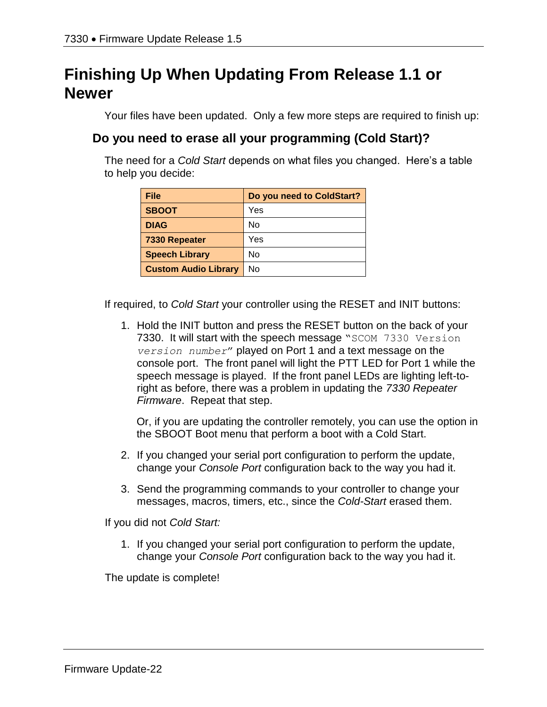# **Finishing Up When Updating From Release 1.1 or Newer**

Your files have been updated. Only a few more steps are required to finish up:

#### **Do you need to erase all your programming (Cold Start)?**

The need for a *Cold Start* depends on what files you changed. Here's a table to help you decide:

| File                        | Do you need to ColdStart? |
|-----------------------------|---------------------------|
| <b>SBOOT</b>                | Yes                       |
| <b>DIAG</b>                 | No                        |
| 7330 Repeater               | Yes                       |
| <b>Speech Library</b>       | No                        |
| <b>Custom Audio Library</b> | No                        |

If required, to *Cold Start* your controller using the RESET and INIT buttons:

1. Hold the INIT button and press the RESET button on the back of your 7330. It will start with the speech message "SCOM 7330 Version *version number*" played on Port 1 and a text message on the console port. The front panel will light the PTT LED for Port 1 while the speech message is played. If the front panel LEDs are lighting left-toright as before, there was a problem in updating the *7330 Repeater Firmware*. Repeat that step.

Or, if you are updating the controller remotely, you can use the option in the SBOOT Boot menu that perform a boot with a Cold Start.

- 2. If you changed your serial port configuration to perform the update, change your *Console Port* configuration back to the way you had it.
- 3. Send the programming commands to your controller to change your messages, macros, timers, etc., since the *Cold-Start* erased them.

If you did not *Cold Start:*

1. If you changed your serial port configuration to perform the update, change your *Console Port* configuration back to the way you had it.

The update is complete!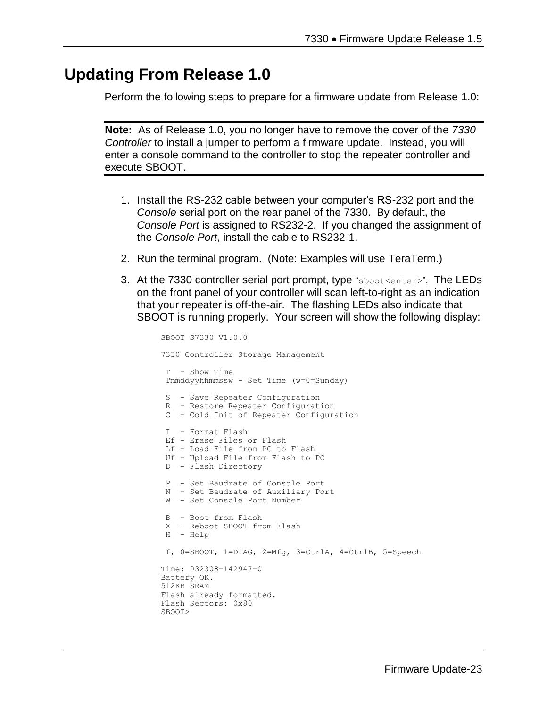#### **Updating From Release 1.0**

Perform the following steps to prepare for a firmware update from Release 1.0:

**Note:** As of Release 1.0, you no longer have to remove the cover of the *7330 Controller* to install a jumper to perform a firmware update. Instead, you will enter a console command to the controller to stop the repeater controller and execute SBOOT.

- 1. Install the RS-232 cable between your computer's RS-232 port and the *Console* serial port on the rear panel of the 7330. By default, the *Console Port* is assigned to RS232-2. If you changed the assignment of the *Console Port*, install the cable to RS232-1.
- 2. Run the terminal program. (Note: Examples will use TeraTerm.)
- 3. At the 7330 controller serial port prompt, type "sboot<enter>". The LEDs on the front panel of your controller will scan left-to-right as an indication that your repeater is off-the-air. The flashing LEDs also indicate that SBOOT is running properly. Your screen will show the following display:

```
SBOOT S7330 V1.0.0
7330 Controller Storage Management
T - Show Time
Tmmddyyhhmmssw - Set Time (w=0=Sunday)
S - Save Repeater Configuration
R - Restore Repeater Configuration
C - Cold Init of Repeater Configuration
I - Format Flash
Ef - Erase Files or Flash
Lf - Load File from PC to Flash
Uf - Upload File from Flash to PC
D - Flash Directory
P - Set Baudrate of Console Port
N - Set Baudrate of Auxiliary Port
W - Set Console Port Number
B - Boot from Flash
X - Reboot SBOOT from Flash
H - Help
f, 0=SBOOT, 1=DIAG, 2=Mfg, 3=CtrlA, 4=CtrlB, 5=Speech
Time: 032308-142947-0
Battery OK.
512KB SRAM
Flash already formatted.
Flash Sectors: 0x80
SBOOT>
```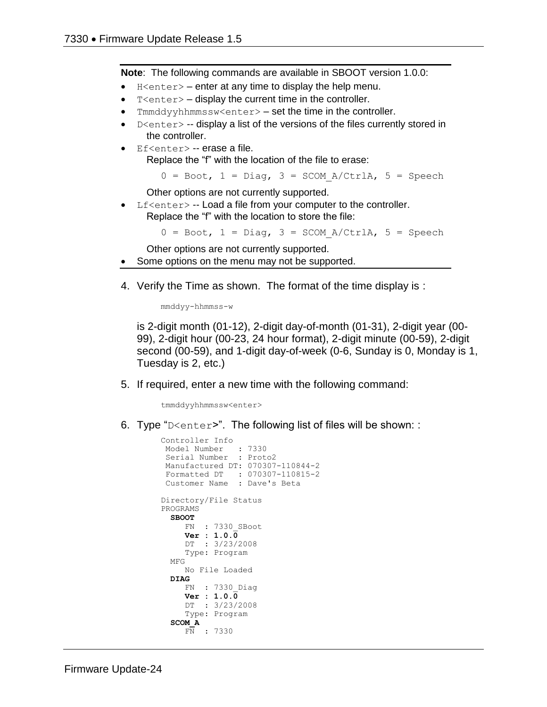**Note**: The following commands are available in SBOOT version 1.0.0:

- $H \leq h$  = enter at any time to display the help menu.
- $T$  <enter  $>$  display the current time in the controller.
- $T$ mmddyyhhmmssw<enter>  $-$  set the time in the controller.
- $D \leq C$  -- display a list of the versions of the files currently stored in the controller.
- Ef<enter> -- erase a file. Replace the "f" with the location of the file to erase:

 $0 = \text{foot}, 1 = \text{Diag}, 3 = \text{SCOM A/CtrlA}, 5 = \text{Speedch}$ 

Other options are not currently supported.

 $Lf$  < enter  $>$  -- Load a file from your computer to the controller. Replace the "f" with the location to store the file:

 $0 = \text{foot}, 1 = \text{Diag}, 3 = \text{SCOM A/CtrlA}, 5 = \text{Speedch}$ 

Other options are not currently supported.

- Some options on the menu may not be supported.
- 4. Verify the Time as shown. The format of the time display is :

mmddyy-hhmmss-w

is 2-digit month (01-12), 2-digit day-of-month (01-31), 2-digit year (00- 99), 2-digit hour (00-23, 24 hour format), 2-digit minute (00-59), 2-digit second (00-59), and 1-digit day-of-week (0-6, Sunday is 0, Monday is 1, Tuesday is 2, etc.)

5. If required, enter a new time with the following command:

tmmddyyhhmmssw<enter>

6. Type "D<enter>". The following list of files will be shown: :

```
Controller Info
 Model Number : 7330
 Serial Number : Proto2
Manufactured DT: 070307-110844-2
Formatted DT : 070307-110815-2
Customer Name : Dave's Beta
Directory/File Status
PROGRAMS
   SBOOT
     FN : 7330_SBoot
      Ver : 1.0.0
     DT : 3/23/2008
     Type: Program
   MFG
      No File Loaded
   DIAG
     FN : 7330_Diag
      Ver : 1.0.0
      DT : 3/23/2008
      Type: Program
   SCOM_A
      FN : 7330
```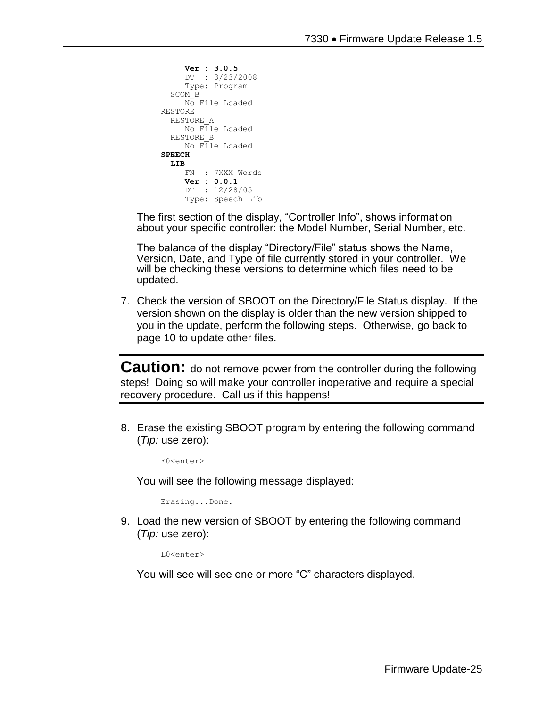```
 Ver : 3.0.5
      DT : 3/23/2008
      Type: Program
   SCOM_B
     No File Loaded
RESTORE
  RESTORE_A
      No File Loaded
   RESTORE_B
      No File Loaded
SPEECH
 LIB
      FN : 7XXX Words
      Ver : 0.0.1
      DT : 12/28/05
      Type: Speech Lib
```
The first section of the display, "Controller Info", shows information about your specific controller: the Model Number, Serial Number, etc.

The balance of the display "Directory/File" status shows the Name, Version, Date, and Type of file currently stored in your controller. We will be checking these versions to determine which files need to be updated.

7. Check the version of SBOOT on the Directory/File Status display. If the version shown on the display is older than the new version shipped to you in the update, perform the following steps. Otherwise, go back to page 10 to update other files.

**Caution:** do not remove power from the controller during the following steps! Doing so will make your controller inoperative and require a special recovery procedure. Call us if this happens!

8. Erase the existing SBOOT program by entering the following command (*Tip:* use zero):

E0<enter>

You will see the following message displayed:

Erasing...Done.

9. Load the new version of SBOOT by entering the following command (*Tip:* use zero):

L0<enter>

You will see will see one or more "C" characters displayed.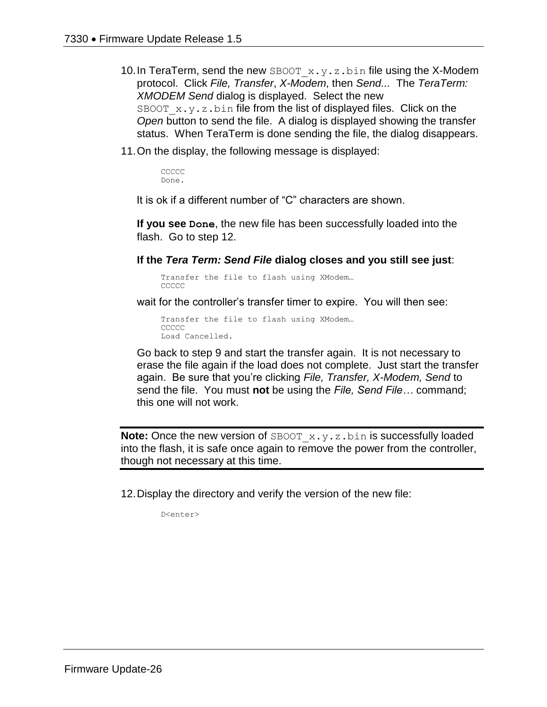- 10. In TeraTerm, send the new SBOOT  $x.y.z.bin$  file using the X-Modem protocol. Click *File, Transfer*, *X-Modem*, then *Send...* The *TeraTerm: XMODEM Send* dialog is displayed. Select the new SBOOT  $x,y,z,b$ in file from the list of displayed files. Click on the *Open* button to send the file. A dialog is displayed showing the transfer status. When TeraTerm is done sending the file, the dialog disappears.
- 11.On the display, the following message is displayed:

CCCCC. Done.

It is ok if a different number of "C" characters are shown.

**If you see Done**, the new file has been successfully loaded into the flash. Go to step 12.

**If the** *Tera Term: Send File* **dialog closes and you still see just**:

Transfer the file to flash using XModem… CCCCC.

wait for the controller's transfer timer to expire. You will then see:

Transfer the file to flash using XModem… CCCCC Load Cancelled.

Go back to step 9 and start the transfer again. It is not necessary to erase the file again if the load does not complete. Just start the transfer again. Be sure that you're clicking *File, Transfer, X-Modem, Send* to send the file. You must **not** be using the *File, Send File…* command; this one will not work.

**Note:** Once the new version of SBOOT x.y.z.bin is successfully loaded into the flash, it is safe once again to remove the power from the controller, though not necessary at this time.

12.Display the directory and verify the version of the new file:

D<enter>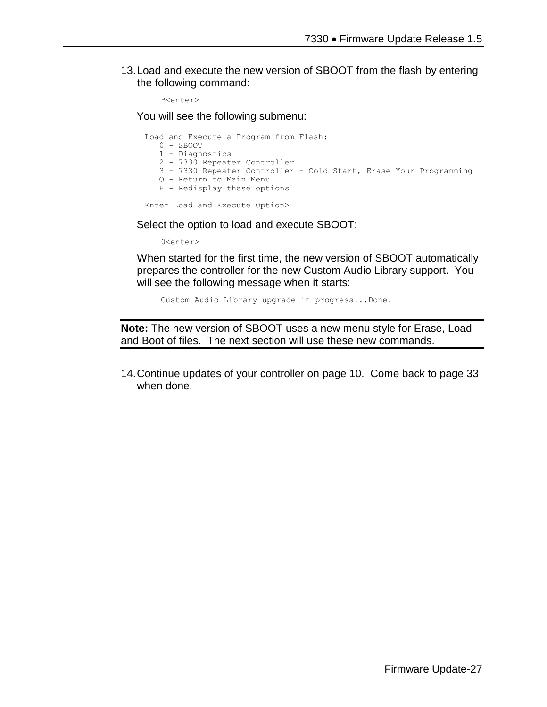13.Load and execute the new version of SBOOT from the flash by entering the following command:

```
B<enter>
```
You will see the following submenu:

Load and Execute a Program from Flash: 0 - SBOOT 1 - Diagnostics 2 - 7330 Repeater Controller 3 - 7330 Repeater Controller - Cold Start, Erase Your Programming Q - Return to Main Menu H - Redisplay these options

Enter Load and Execute Option>

Select the option to load and execute SBOOT:

0<enter>

When started for the first time, the new version of SBOOT automatically prepares the controller for the new Custom Audio Library support. You will see the following message when it starts:

Custom Audio Library upgrade in progress...Done.

**Note:** The new version of SBOOT uses a new menu style for Erase, Load and Boot of files. The next section will use these new commands.

14.Continue updates of your controller on page 10. Come back to page 33 when done.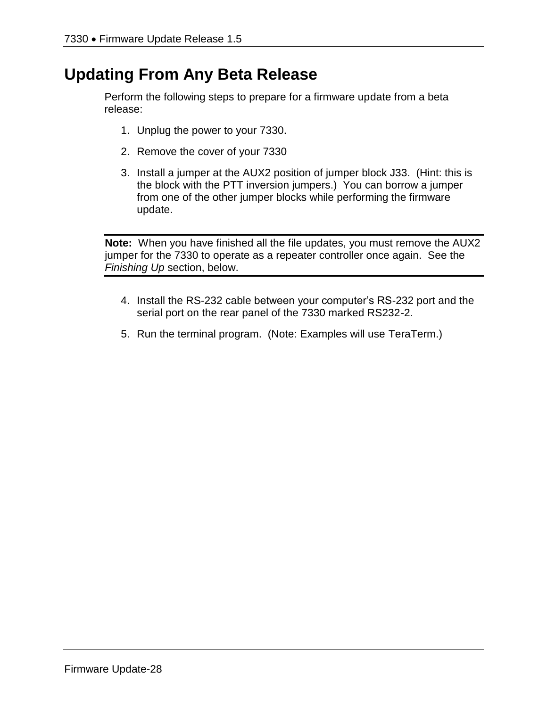# **Updating From Any Beta Release**

Perform the following steps to prepare for a firmware update from a beta release:

- 1. Unplug the power to your 7330.
- 2. Remove the cover of your 7330
- 3. Install a jumper at the AUX2 position of jumper block J33. (Hint: this is the block with the PTT inversion jumpers.) You can borrow a jumper from one of the other jumper blocks while performing the firmware update.

**Note:** When you have finished all the file updates, you must remove the AUX2 jumper for the 7330 to operate as a repeater controller once again. See the *Finishing Up* section, below.

- 4. Install the RS-232 cable between your computer's RS-232 port and the serial port on the rear panel of the 7330 marked RS232-2.
- 5. Run the terminal program. (Note: Examples will use TeraTerm.)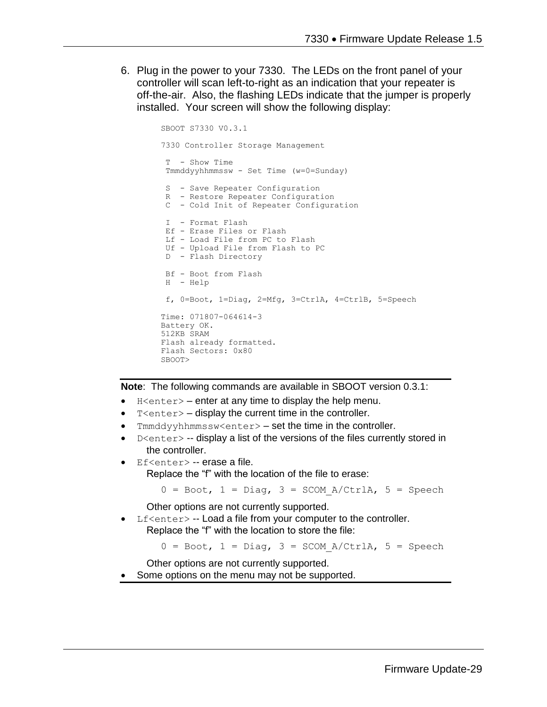6. Plug in the power to your 7330. The LEDs on the front panel of your controller will scan left-to-right as an indication that your repeater is off-the-air. Also, the flashing LEDs indicate that the jumper is properly installed. Your screen will show the following display:

```
SBOOT S7330 V0.3.1
7330 Controller Storage Management
T - Show Time
Tmmddyyhhmmssw - Set Time (w=0=Sunday)
S - Save Repeater Configuration
R - Restore Repeater Configuration
C - Cold Init of Repeater Configuration
I - Format Flash
Ef - Erase Files or Flash
Lf - Load File from PC to Flash
Uf - Upload File from Flash to PC
D - Flash Directory
Bf - Boot from Flash
H - Help
f, 0=Boot, 1=Diag, 2=Mfg, 3=CtrlA, 4=CtrlB, 5=Speech
Time: 071807-064614-3
Battery OK.
512KB SRAM
Flash already formatted.
Flash Sectors: 0x80
SBOOT>
```
**Note**: The following commands are available in SBOOT version 0.3.1:

- H<enter> enter at any time to display the help menu.
- $T$  <enter  $>$  display the current time in the controller.
- Tmmddyyhhmmssw<enter> set the time in the controller.
- $D \leq n \leq r$  -- display a list of the versions of the files currently stored in the controller.
- Ef<enter> -- erase a file. Replace the "f" with the location of the file to erase:

 $0 = \text{foot}, 1 = \text{Diag}, 3 = \text{SCOM}_A/\text{Ctrl}, 5 = \text{Speedch}$ 

Other options are not currently supported.

Lf<enter> -- Load a file from your computer to the controller. Replace the "f" with the location to store the file:

 $0 = \text{foot}, 1 = \text{Diag}, 3 = \text{SCOM A/CtrlA}, 5 = \text{Speedch}$ 

Other options are not currently supported.

Some options on the menu may not be supported.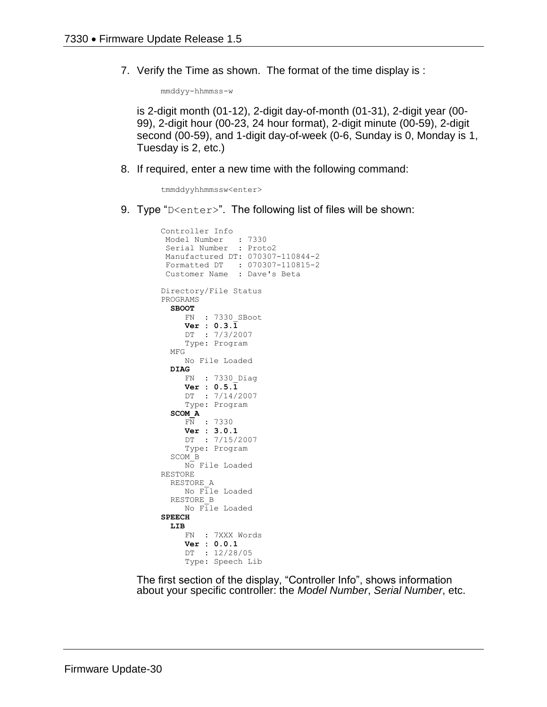7. Verify the Time as shown. The format of the time display is :

mmddyy-hhmmss-w

is 2-digit month (01-12), 2-digit day-of-month (01-31), 2-digit year (00- 99), 2-digit hour (00-23, 24 hour format), 2-digit minute (00-59), 2-digit second (00-59), and 1-digit day-of-week (0-6, Sunday is 0, Monday is 1, Tuesday is 2, etc.)

8. If required, enter a new time with the following command:

tmmddyyhhmmssw<enter>

9. Type "D<enter>". The following list of files will be shown:

```
Controller Info
 Model Number : 7330
 Serial Number : Proto2
Manufactured DT: 070307-110844-2
Formatted DT : 070307-110815-2
 Customer Name : Dave's Beta
Directory/File Status
PROGRAMS
   SBOOT
      FN : 7330_SBoot
      Ver : 0.3.1
      DT : 7/3/2007
      Type: Program
   MFG
      No File Loaded
   DIAG
     FN : 7330_Diag
     Ver : 0.5.\overline{1} DT : 7/14/2007
      Type: Program
   SCOM_A
    FN : 7330 Ver : 3.0.1
      DT : 7/15/2007
      Type: Program
   SCOM_B
      No File Loaded
RESTORE
   RESTORE_A
     No File Loaded
   RESTORE_B
     No File Loaded
SPEECH
   LIB
      FN : 7XXX Words
      Ver : 0.0.1
      DT : 12/28/05
      Type: Speech Lib
```
The first section of the display, "Controller Info", shows information about your specific controller: the *Model Number*, *Serial Number*, etc.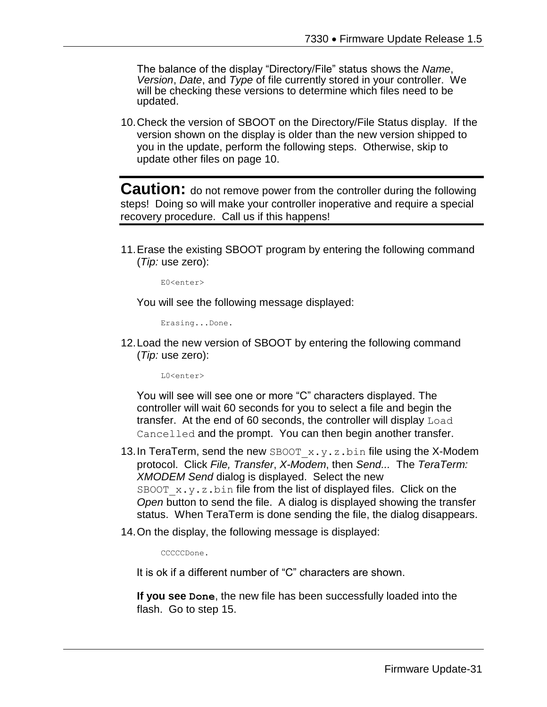The balance of the display "Directory/File" status shows the *Name*, *Version*, *Date*, and *Type* of file currently stored in your controller. We will be checking these versions to determine which files need to be updated.

10.Check the version of SBOOT on the Directory/File Status display. If the version shown on the display is older than the new version shipped to you in the update, perform the following steps. Otherwise, skip to update other files on page 10.

**Caution:** do not remove power from the controller during the following steps! Doing so will make your controller inoperative and require a special recovery procedure. Call us if this happens!

11.Erase the existing SBOOT program by entering the following command (*Tip:* use zero):

E0<enter>

You will see the following message displayed:

Erasing...Done.

12.Load the new version of SBOOT by entering the following command (*Tip:* use zero):

 $L0$ <enter>

You will see will see one or more "C" characters displayed. The controller will wait 60 seconds for you to select a file and begin the transfer. At the end of 60 seconds, the controller will display Load Cancelled and the prompt. You can then begin another transfer.

- 13. In TeraTerm, send the new SBOOT  $x.y.z.bin$  file using the X-Modem protocol. Click *File, Transfer*, *X-Modem*, then *Send...* The *TeraTerm: XMODEM Send* dialog is displayed. Select the new SBOOT  $x.y.z$  bin file from the list of displayed files. Click on the *Open* button to send the file. A dialog is displayed showing the transfer status. When TeraTerm is done sending the file, the dialog disappears.
- 14.On the display, the following message is displayed:

CCCCCDone.

It is ok if a different number of "C" characters are shown.

**If you see Done**, the new file has been successfully loaded into the flash. Go to step 15.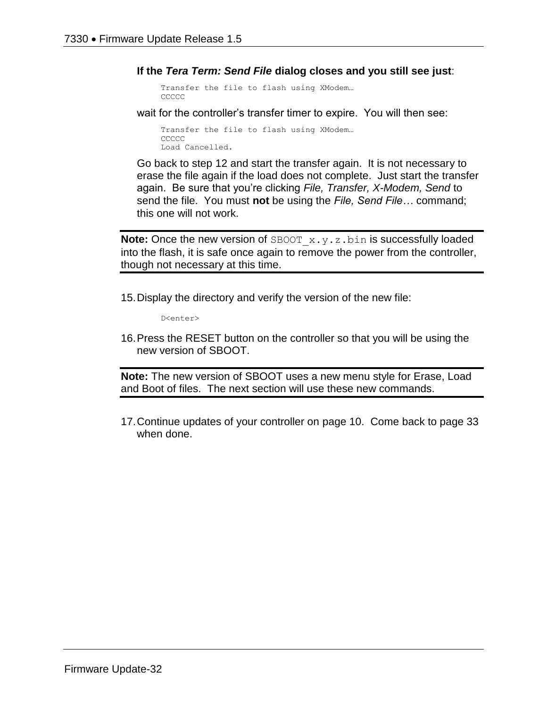**If the** *Tera Term: Send File* **dialog closes and you still see just**:

```
Transfer the file to flash using XModem…
CCCCC
```
wait for the controller's transfer timer to expire. You will then see:

```
Transfer the file to flash using XModem…
CCCCC
Load Cancelled.
```
Go back to step 12 and start the transfer again. It is not necessary to erase the file again if the load does not complete. Just start the transfer again. Be sure that you're clicking *File, Transfer, X-Modem, Send* to send the file. You must **not** be using the *File, Send File…* command; this one will not work.

**Note:** Once the new version of SBOOT x.y.z.bin is successfully loaded into the flash, it is safe once again to remove the power from the controller, though not necessary at this time.

15.Display the directory and verify the version of the new file:

D<enter>

16.Press the RESET button on the controller so that you will be using the new version of SBOOT.

**Note:** The new version of SBOOT uses a new menu style for Erase, Load and Boot of files. The next section will use these new commands.

17.Continue updates of your controller on page 10. Come back to page 33 when done.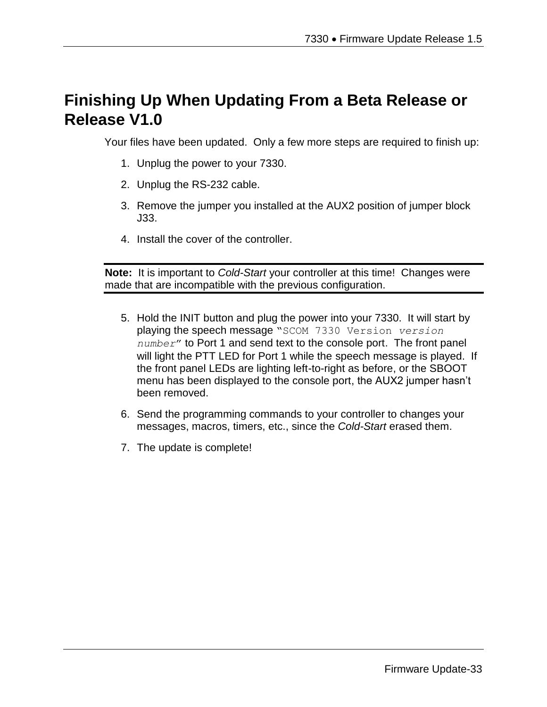# **Finishing Up When Updating From a Beta Release or Release V1.0**

Your files have been updated. Only a few more steps are required to finish up:

- 1. Unplug the power to your 7330.
- 2. Unplug the RS-232 cable.
- 3. Remove the jumper you installed at the AUX2 position of jumper block J33.
- 4. Install the cover of the controller.

**Note:** It is important to *Cold-Start* your controller at this time! Changes were made that are incompatible with the previous configuration.

- 5. Hold the INIT button and plug the power into your 7330. It will start by playing the speech message "SCOM 7330 Version *version number*" to Port 1 and send text to the console port. The front panel will light the PTT LED for Port 1 while the speech message is played. If the front panel LEDs are lighting left-to-right as before, or the SBOOT menu has been displayed to the console port, the AUX2 jumper hasn't been removed.
- 6. Send the programming commands to your controller to changes your messages, macros, timers, etc., since the *Cold-Start* erased them.
- 7. The update is complete!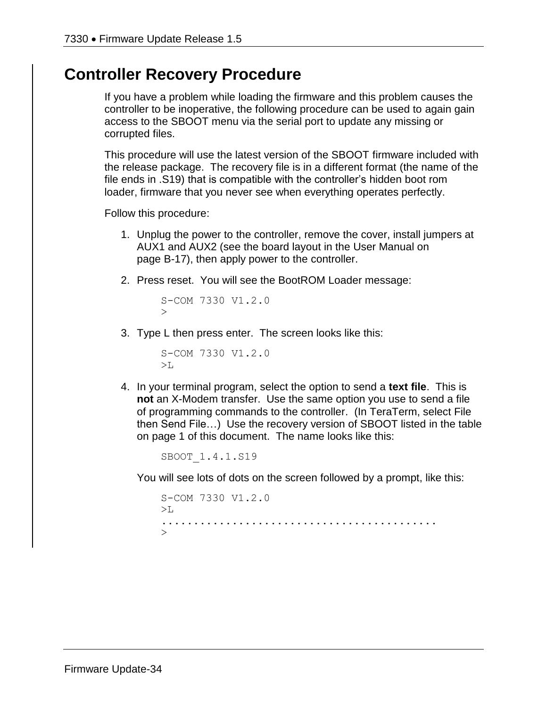#### **Controller Recovery Procedure**

If you have a problem while loading the firmware and this problem causes the controller to be inoperative, the following procedure can be used to again gain access to the SBOOT menu via the serial port to update any missing or corrupted files.

This procedure will use the latest version of the SBOOT firmware included with the release package. The recovery file is in a different format (the name of the file ends in .S19) that is compatible with the controller's hidden boot rom loader, firmware that you never see when everything operates perfectly.

Follow this procedure:

- 1. Unplug the power to the controller, remove the cover, install jumpers at AUX1 and AUX2 (see the board layout in the User Manual on page B-17), then apply power to the controller.
- 2. Press reset. You will see the BootROM Loader message:

S-COM 7330 V1.2.0  $\geq$ 

3. Type L then press enter. The screen looks like this:

S-COM 7330 V1.2.0  $>$ L $\overline{L}$ 

4. In your terminal program, select the option to send a **text file**. This is **not** an X-Modem transfer. Use the same option you use to send a file of programming commands to the controller. (In TeraTerm, select File then Send File…) Use the recovery version of SBOOT listed in the table on page 1 of this document. The name looks like this:

SBOOT\_1.4.1.S19

You will see lots of dots on the screen followed by a prompt, like this:

S-COM 7330 V1.2.0 >L ........................................... >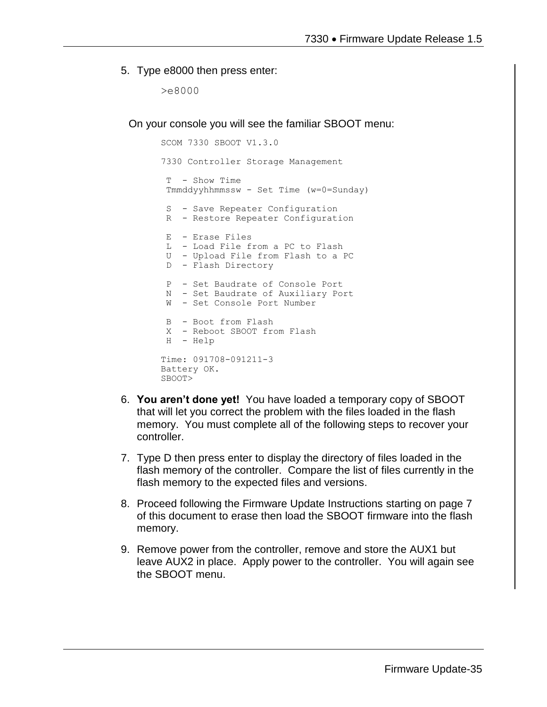5. Type e8000 then press enter:

>e8000

On your console you will see the familiar SBOOT menu:

```
SCOM 7330 SBOOT V1.3.0
7330 Controller Storage Management
T - Show Time 
Tmmddyyhhmmssw - Set Time (w=0=Sunday)
 S - Save Repeater Configuration
 R - Restore Repeater Configuration
 E - Erase Files
 L - Load File from a PC to Flash
 U - Upload File from Flash to a PC
 D - Flash Directory
 P - Set Baudrate of Console Port
 N - Set Baudrate of Auxiliary Port
W - Set Console Port Number
 B - Boot from Flash
X - Reboot SBOOT from Flash
H - Help
Time: 091708-091211-3
Battery OK.
SBOOT>
```
- 6. **You aren't done yet!** You have loaded a temporary copy of SBOOT that will let you correct the problem with the files loaded in the flash memory. You must complete all of the following steps to recover your controller.
- 7. Type D then press enter to display the directory of files loaded in the flash memory of the controller. Compare the list of files currently in the flash memory to the expected files and versions.
- 8. Proceed following the Firmware Update Instructions starting on page 7 of this document to erase then load the SBOOT firmware into the flash memory.
- 9. Remove power from the controller, remove and store the AUX1 but leave AUX2 in place. Apply power to the controller. You will again see the SBOOT menu.